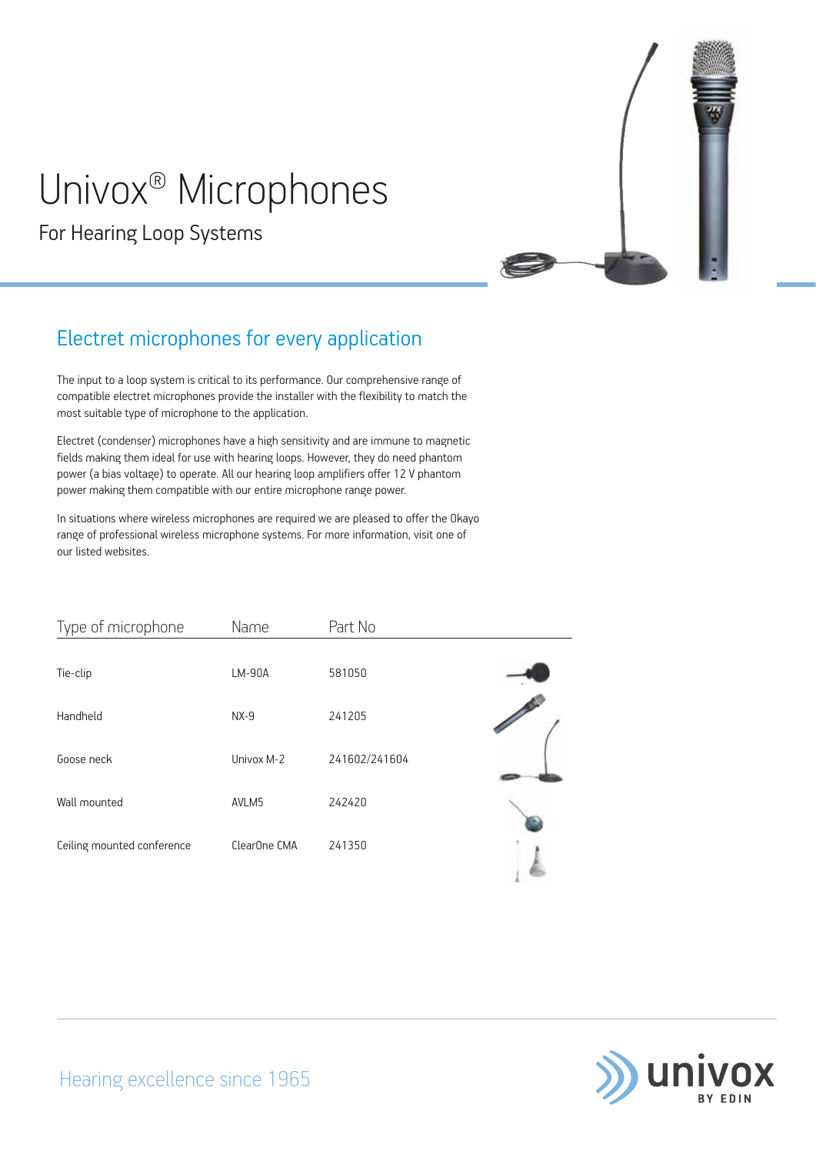# Univox® Microphones

For Hearing Loop Systems



### Electret microphones for every application

The input to a loop system is critical to its performance. Our comprehensive range of compatible electret microphones provide the installer with the flexibility to match the most suitable type of microphone to the application.

Electret (condenser) microphones have a high sensitivity and are immune to magnetic fields making them ideal for use with hearing loops. However, they do need phantom power (a bias voltage) to operate. All our hearing loop amplifiers offer 12 V phantom power making them compatible with our entire microphone range power.

In situations where wireless microphones are required we are pleased to offer the Okayo range of professional wireless microphone systems. For more information, visit one of our listed websites.

| Type of microphone         | Name         | Part No       |  |
|----------------------------|--------------|---------------|--|
| Tie-clip                   | LM-90A       | 581050        |  |
| Handheld                   | $NX-9$       | 241205        |  |
| Goose neck                 | Univox M-2   | 241602/241604 |  |
| Wall mounted               | AVLM5        | 242420        |  |
| Ceiling mounted conference | ClearOne CMA | 241350        |  |

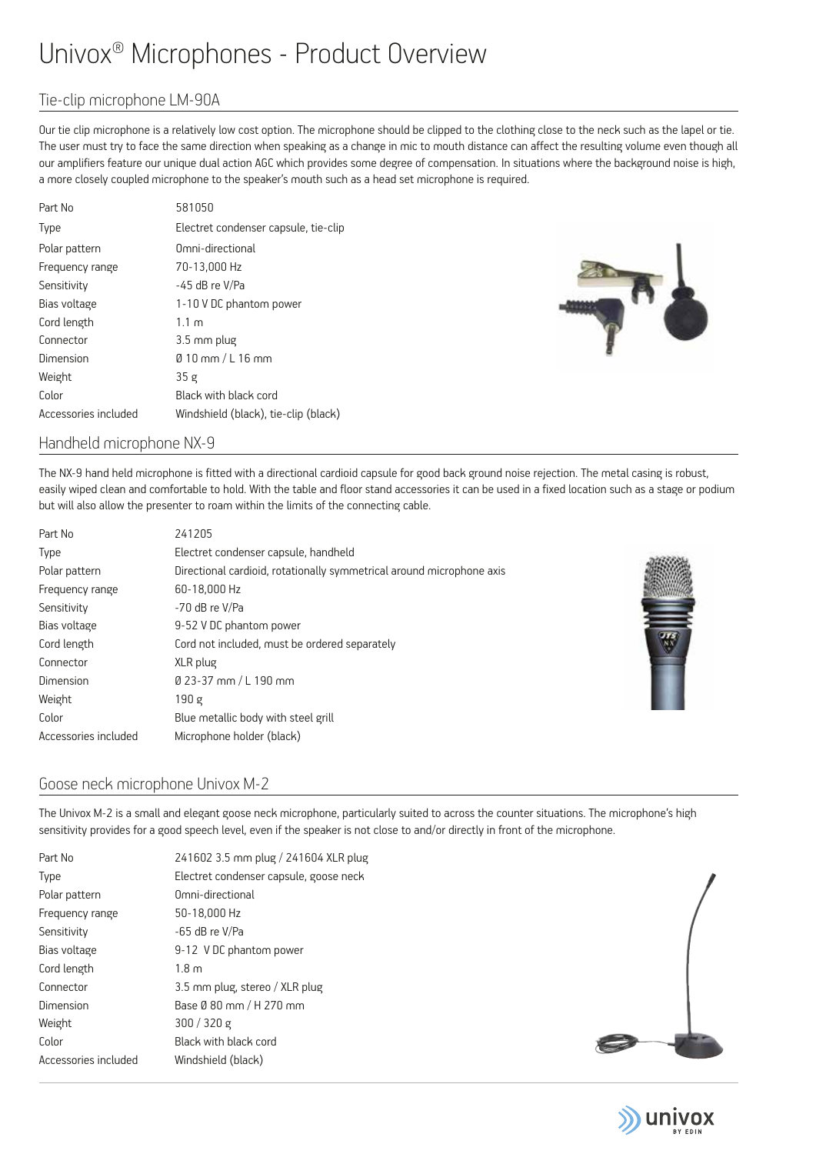## Univox® Microphones - Product Overview

#### Tie-clip microphone LM-90A

Our tie clip microphone is a relatively low cost option. The microphone should be clipped to the clothing close to the neck such as the lapel or tie. The user must try to face the same direction when speaking as a change in mic to mouth distance can affect the resulting volume even though all our amplifiers feature our unique dual action AGC which provides some degree of compensation. In situations where the background noise is high, a more closely coupled microphone to the speaker's mouth such as a head set microphone is required.

| Part No              | 581050                               |
|----------------------|--------------------------------------|
| <b>Type</b>          | Electret condenser capsule, tie-clip |
| Polar pattern        | Omni-directional                     |
| Frequency range      | 70-13,000 Hz                         |
| Sensitivity          | -45 dB re V/Pa                       |
| Bias voltage         | 1-10 V DC phantom power              |
| Cord length          | 1.1 m                                |
| Connector            | 3.5 mm plug                          |
| Dimension            | $\emptyset$ 10 mm / L 16 mm          |
| Weight               | 35g                                  |
| Color                | Black with black cord                |
| Accessories included | Windshield (black), tie-clip (black) |



#### Handheld microphone NX-9

The NX-9 hand held microphone is fitted with a directional cardioid capsule for good back ground noise rejection. The metal casing is robust, easily wiped clean and comfortable to hold. With the table and floor stand accessories it can be used in a fixed location such as a stage or podium but will also allow the presenter to roam within the limits of the connecting cable.

| Part No              | 241205                                                                |
|----------------------|-----------------------------------------------------------------------|
| Type                 | Electret condenser capsule, handheld                                  |
| Polar pattern        | Directional cardioid, rotationally symmetrical around microphone axis |
| Frequency range      | 60-18,000 Hz                                                          |
| Sensitivity          | -70 dB re V/Pa                                                        |
| Bias voltage         | 9-52 V DC phantom power                                               |
| Cord length          | Cord not included, must be ordered separately                         |
| Connector            | XLR plug                                                              |
| Dimension            | Ø 23-37 mm / L 190 mm                                                 |
| Weight               | 190 g                                                                 |
| Color                | Blue metallic body with steel grill                                   |
| Accessories included | Microphone holder (black)                                             |



#### Goose neck microphone Univox M-2

The Univox M-2 is a small and elegant goose neck microphone, particularly suited to across the counter situations. The microphone's high sensitivity provides for a good speech level, even if the speaker is not close to and/or directly in front of the microphone.

| Part No              | 241602 3.5 mm plug / 241604 XLR plug   |
|----------------------|----------------------------------------|
| Type                 | Electret condenser capsule, goose neck |
| Polar pattern        | Omni-directional                       |
| Frequency range      | 50-18,000 Hz                           |
| Sensitivity          | $-65$ dB re V/Pa                       |
| Bias voltage         | 9-12 V DC phantom power                |
| Cord length          | 1.8 <sub>m</sub>                       |
| Connector            | 3.5 mm plug, stereo / XLR plug         |
| Dimension            | Base Ø 80 mm / H 270 mm                |
| Weight               | 300 / 320 g                            |
| Color                | Black with black cord                  |
| Accessories included | Windshield (black)                     |
|                      |                                        |



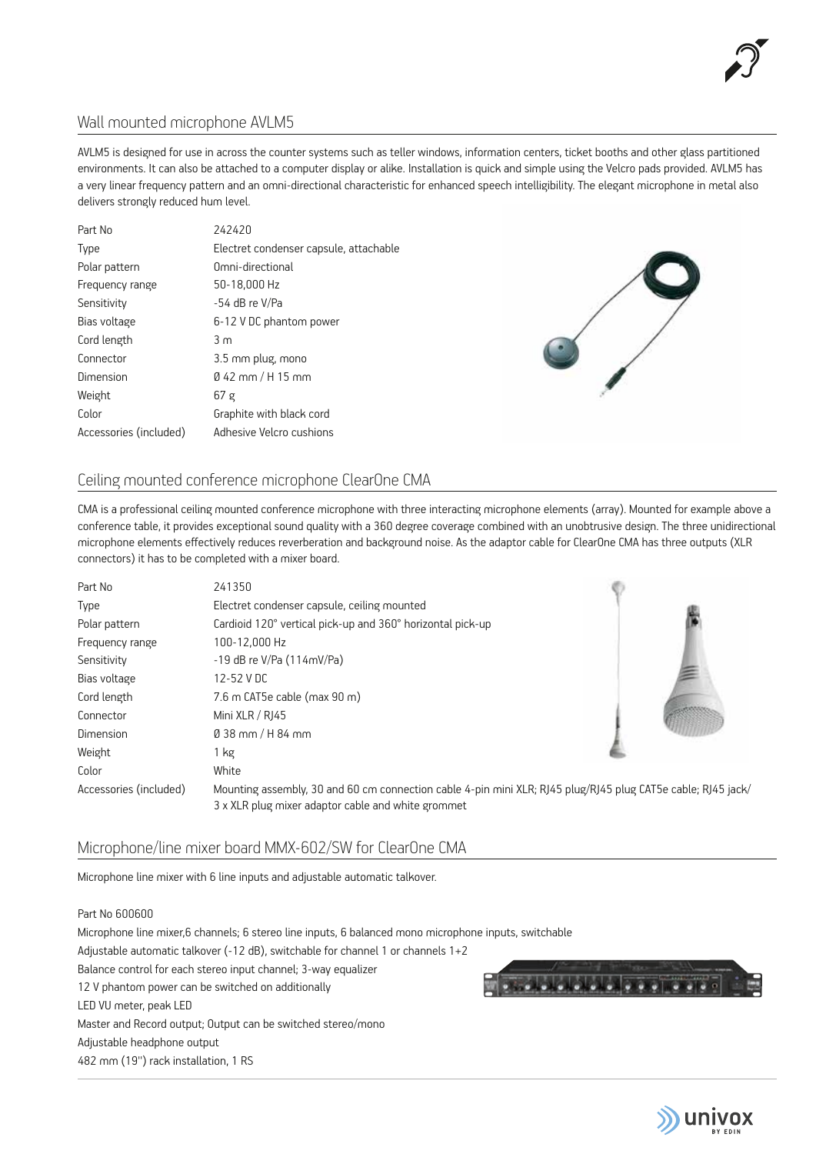

#### Wall mounted microphone AVLM5

AVLM5 is designed for use in across the counter systems such as teller windows, information centers, ticket booths and other glass partitioned environments. It can also be attached to a computer display or alike. Installation is quick and simple using the Velcro pads provided. AVLM5 has a very linear frequency pattern and an omni-directional characteristic for enhanced speech intelligibility. The elegant microphone in metal also delivers strongly reduced hum level.

| Part No                | 242420                                 |
|------------------------|----------------------------------------|
| Type                   | Electret condenser capsule, attachable |
| Polar pattern          | Omni-directional                       |
| Frequency range        | 50-18,000 Hz                           |
| Sensitivity            | -54 dB re V/Pa                         |
| Bias voltage           | 6-12 V DC phantom power                |
| Cord length            | 3m                                     |
| Connector              | 3.5 mm plug, mono                      |
| Dimension              | $\varnothing$ 42 mm / H 15 mm          |
| Weight                 | 67 <sub>g</sub>                        |
| Color                  | Graphite with black cord               |
| Accessories (included) | Adhesive Velcro cushions               |



#### Ceiling mounted conference microphone ClearOne CMA

CMA is a professional ceiling mounted conference microphone with three interacting microphone elements (array). Mounted for example above a conference table, it provides exceptional sound quality with a 360 degree coverage combined with an unobtrusive design. The three unidirectional microphone elements effectively reduces reverberation and background noise. As the adaptor cable for ClearOne CMA has three outputs (XLR connectors) it has to be completed with a mixer board.

| Part No                | 241350                                                                                                                                                             |  |
|------------------------|--------------------------------------------------------------------------------------------------------------------------------------------------------------------|--|
| Type                   | Electret condenser capsule, ceiling mounted                                                                                                                        |  |
| Polar pattern          | Cardioid 120° vertical pick-up and 360° horizontal pick-up                                                                                                         |  |
| Frequency range        | 100-12,000 Hz                                                                                                                                                      |  |
| Sensitivity            | $-19$ dB re V/Pa $(114 \text{mV/Pa})$                                                                                                                              |  |
| Bias voltage           | 12-52 V DC                                                                                                                                                         |  |
| Cord length            | 7.6 m CAT5e cable (max 90 m)                                                                                                                                       |  |
| Connector              | Mini XLR / RJ45                                                                                                                                                    |  |
| Dimension              | $0.38$ mm / H 84 mm                                                                                                                                                |  |
| Weight                 | 1 kg                                                                                                                                                               |  |
| Color                  | White                                                                                                                                                              |  |
| Accessories (included) | Mounting assembly, 30 and 60 cm connection cable 4-pin mini XLR; RJ45 plug/RJ45 plug CAT5e cable; RJ45 jack/<br>3 x XLR plug mixer adaptor cable and white grommet |  |

#### Microphone/line mixer board MMX-602/SW for ClearOne CMA

Microphone line mixer with 6 line inputs and adjustable automatic talkover.

#### Part No 600600

Microphone line mixer,6 channels; 6 stereo line inputs, 6 balanced mono microphone inputs, switchable Adjustable automatic talkover (-12 dB), switchable for channel 1 or channels 1+2 Balance control for each stereo input channel; 3-way equalizer 12 V phantom power can be switched on additionally LED VU meter, peak LED Master and Record output; Output can be switched stereo/mono Adjustable headphone output 482 mm (19'') rack installation, 1 RS